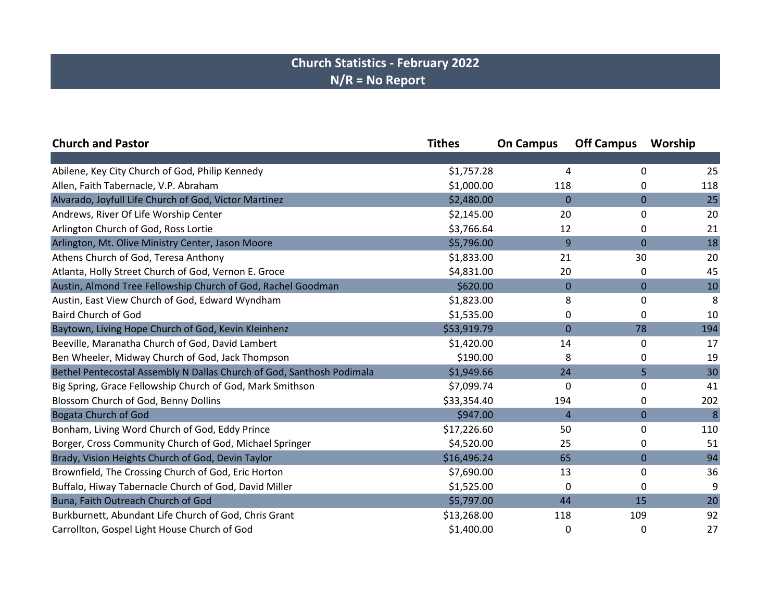## **Church Statistics - February 2022 N/R = No Report**

| <b>Church and Pastor</b>                                              | <b>Tithes</b> | <b>On Campus</b> | <b>Off Campus</b> | Worship |
|-----------------------------------------------------------------------|---------------|------------------|-------------------|---------|
|                                                                       |               |                  |                   |         |
| Abilene, Key City Church of God, Philip Kennedy                       | \$1,757.28    | 4                | 0                 | 25      |
| Allen, Faith Tabernacle, V.P. Abraham                                 | \$1,000.00    | 118              | 0                 | 118     |
| Alvarado, Joyfull Life Church of God, Victor Martinez                 | \$2,480.00    | $\mathbf 0$      | $\mathbf 0$       | 25      |
| Andrews, River Of Life Worship Center                                 | \$2,145.00    | 20               | 0                 | 20      |
| Arlington Church of God, Ross Lortie                                  | \$3,766.64    | 12               | 0                 | 21      |
| Arlington, Mt. Olive Ministry Center, Jason Moore                     | \$5,796.00    | 9                | $\mathbf 0$       | 18      |
| Athens Church of God, Teresa Anthony                                  | \$1,833.00    | 21               | 30                | 20      |
| Atlanta, Holly Street Church of God, Vernon E. Groce                  | \$4,831.00    | 20               | 0                 | 45      |
| Austin, Almond Tree Fellowship Church of God, Rachel Goodman          | \$620.00      | $\mathbf 0$      | $\mathbf 0$       | 10      |
| Austin, East View Church of God, Edward Wyndham                       | \$1,823.00    | 8                | 0                 | 8       |
| <b>Baird Church of God</b>                                            | \$1,535.00    | 0                | 0                 | 10      |
| Baytown, Living Hope Church of God, Kevin Kleinhenz                   | \$53,919.79   | $\mathbf 0$      | 78                | 194     |
| Beeville, Maranatha Church of God, David Lambert                      | \$1,420.00    | 14               | 0                 | 17      |
| Ben Wheeler, Midway Church of God, Jack Thompson                      | \$190.00      | 8                | 0                 | 19      |
| Bethel Pentecostal Assembly N Dallas Church of God, Santhosh Podimala | \$1,949.66    | 24               | 5                 | 30      |
| Big Spring, Grace Fellowship Church of God, Mark Smithson             | \$7,099.74    | 0                | 0                 | 41      |
| Blossom Church of God, Benny Dollins                                  | \$33,354.40   | 194              | 0                 | 202     |
| <b>Bogata Church of God</b>                                           | \$947.00      | $\overline{4}$   | $\mathbf 0$       | 8       |
| Bonham, Living Word Church of God, Eddy Prince                        | \$17,226.60   | 50               | 0                 | 110     |
| Borger, Cross Community Church of God, Michael Springer               | \$4,520.00    | 25               | 0                 | 51      |
| Brady, Vision Heights Church of God, Devin Taylor                     | \$16,496.24   | 65               | $\mathbf 0$       | 94      |
| Brownfield, The Crossing Church of God, Eric Horton                   | \$7,690.00    | 13               | 0                 | 36      |
| Buffalo, Hiway Tabernacle Church of God, David Miller                 | \$1,525.00    | 0                | 0                 | 9       |
| Buna, Faith Outreach Church of God                                    | \$5,797.00    | 44               | 15                | 20      |
| Burkburnett, Abundant Life Church of God, Chris Grant                 | \$13,268.00   | 118              | 109               | 92      |
| Carrollton, Gospel Light House Church of God                          | \$1,400.00    | 0                | 0                 | 27      |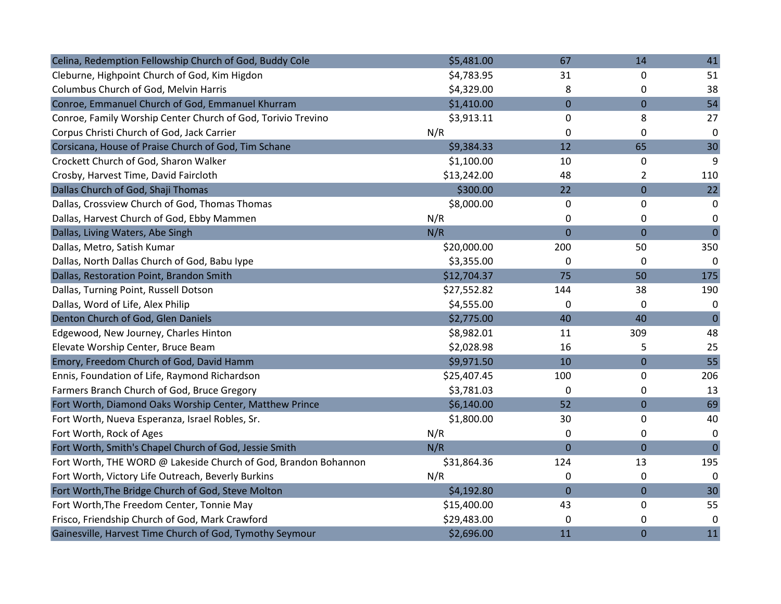| Celina, Redemption Fellowship Church of God, Buddy Cole         | \$5,481.00  | 67             | 14             | 41             |
|-----------------------------------------------------------------|-------------|----------------|----------------|----------------|
| Cleburne, Highpoint Church of God, Kim Higdon                   | \$4,783.95  | 31             | 0              | 51             |
| Columbus Church of God, Melvin Harris                           | \$4,329.00  | 8              | 0              | 38             |
| Conroe, Emmanuel Church of God, Emmanuel Khurram                | \$1,410.00  | $\overline{0}$ | $\overline{0}$ | 54             |
| Conroe, Family Worship Center Church of God, Torivio Trevino    | \$3,913.11  | 0              | 8              | 27             |
| Corpus Christi Church of God, Jack Carrier                      | N/R         | 0              | 0              | $\mathbf 0$    |
| Corsicana, House of Praise Church of God, Tim Schane            | \$9,384.33  | 12             | 65             | 30             |
| Crockett Church of God, Sharon Walker                           | \$1,100.00  | 10             | 0              | 9              |
| Crosby, Harvest Time, David Faircloth                           | \$13,242.00 | 48             | $\overline{2}$ | 110            |
| Dallas Church of God, Shaji Thomas                              | \$300.00    | 22             | $\overline{0}$ | 22             |
| Dallas, Crossview Church of God, Thomas Thomas                  | \$8,000.00  | 0              | 0              | 0              |
| Dallas, Harvest Church of God, Ebby Mammen                      | N/R         | 0              | 0              | 0              |
| Dallas, Living Waters, Abe Singh                                | N/R         | $\overline{0}$ | 0              | $\overline{0}$ |
| Dallas, Metro, Satish Kumar                                     | \$20,000.00 | 200            | 50             | 350            |
| Dallas, North Dallas Church of God, Babu Iype                   | \$3,355.00  | 0              | 0              | 0              |
| Dallas, Restoration Point, Brandon Smith                        | \$12,704.37 | 75             | 50             | 175            |
| Dallas, Turning Point, Russell Dotson                           | \$27,552.82 | 144            | 38             | 190            |
| Dallas, Word of Life, Alex Philip                               | \$4,555.00  | 0              | 0              | 0              |
| Denton Church of God, Glen Daniels                              | \$2,775.00  | 40             | 40             | $\mathbf{0}$   |
| Edgewood, New Journey, Charles Hinton                           | \$8,982.01  | 11             | 309            | 48             |
| Elevate Worship Center, Bruce Beam                              | \$2,028.98  | 16             | 5              | 25             |
| Emory, Freedom Church of God, David Hamm                        | \$9,971.50  | 10             | 0              | 55             |
| Ennis, Foundation of Life, Raymond Richardson                   | \$25,407.45 | 100            | 0              | 206            |
| Farmers Branch Church of God, Bruce Gregory                     | \$3,781.03  | 0              | 0              | 13             |
| Fort Worth, Diamond Oaks Worship Center, Matthew Prince         | \$6,140.00  | 52             | 0              | 69             |
| Fort Worth, Nueva Esperanza, Israel Robles, Sr.                 | \$1,800.00  | 30             | 0              | 40             |
| Fort Worth, Rock of Ages                                        | N/R         | $\mathbf 0$    | 0              | 0              |
| Fort Worth, Smith's Chapel Church of God, Jessie Smith          | N/R         | $\overline{0}$ | $\overline{0}$ | $\overline{0}$ |
| Fort Worth, THE WORD @ Lakeside Church of God, Brandon Bohannon | \$31,864.36 | 124            | 13             | 195            |
| Fort Worth, Victory Life Outreach, Beverly Burkins              | N/R         | 0              | 0              | 0              |
| Fort Worth, The Bridge Church of God, Steve Molton              | \$4,192.80  | $\mathbf 0$    | 0              | 30             |
| Fort Worth, The Freedom Center, Tonnie May                      | \$15,400.00 | 43             | 0              | 55             |
| Frisco, Friendship Church of God, Mark Crawford                 | \$29,483.00 | 0              | 0              | 0              |
| Gainesville, Harvest Time Church of God, Tymothy Seymour        | \$2,696.00  | 11             | $\mathbf 0$    | 11             |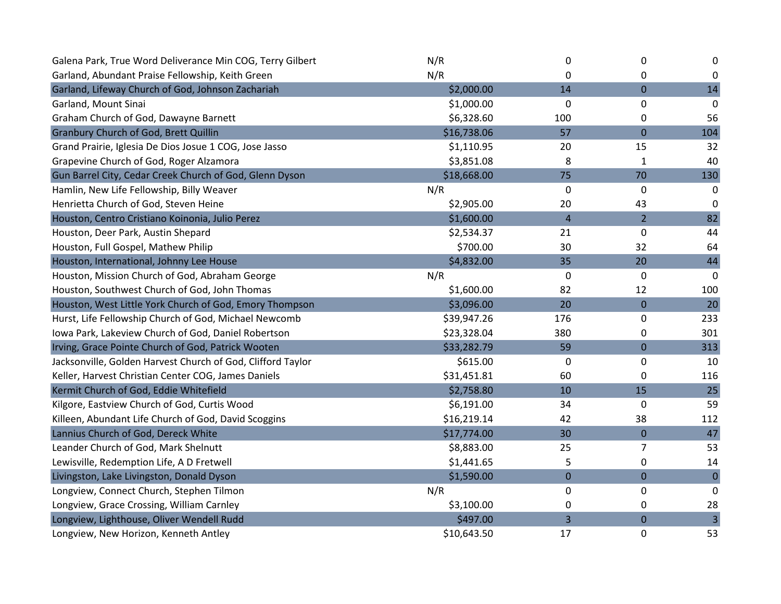| Galena Park, True Word Deliverance Min COG, Terry Gilbert   | N/R         | 0                       | 0              | 0                       |
|-------------------------------------------------------------|-------------|-------------------------|----------------|-------------------------|
| Garland, Abundant Praise Fellowship, Keith Green            | N/R         | $\Omega$                | 0              | 0                       |
| Garland, Lifeway Church of God, Johnson Zachariah           | \$2,000.00  | 14                      | 0              | 14                      |
| Garland, Mount Sinai                                        | \$1,000.00  | $\mathbf{0}$            | 0              | 0                       |
| Graham Church of God, Dawayne Barnett                       | \$6,328.60  | 100                     | 0              | 56                      |
| Granbury Church of God, Brett Quillin                       | \$16,738.06 | 57                      | $\overline{0}$ | 104                     |
| Grand Prairie, Iglesia De Dios Josue 1 COG, Jose Jasso      | \$1,110.95  | 20                      | 15             | 32                      |
| Grapevine Church of God, Roger Alzamora                     | \$3,851.08  | 8                       | $\mathbf{1}$   | 40                      |
| Gun Barrel City, Cedar Creek Church of God, Glenn Dyson     | \$18,668.00 | 75                      | 70             | 130                     |
| Hamlin, New Life Fellowship, Billy Weaver                   | N/R         | $\mathbf 0$             | 0              | 0                       |
| Henrietta Church of God, Steven Heine                       | \$2,905.00  | 20                      | 43             | 0                       |
| Houston, Centro Cristiano Koinonia, Julio Perez             | \$1,600.00  | $\overline{\mathbf{r}}$ | $\overline{2}$ | 82                      |
| Houston, Deer Park, Austin Shepard                          | \$2,534.37  | 21                      | 0              | 44                      |
| Houston, Full Gospel, Mathew Philip                         | \$700.00    | 30                      | 32             | 64                      |
| Houston, International, Johnny Lee House                    | \$4,832.00  | 35                      | 20             | 44                      |
| Houston, Mission Church of God, Abraham George              | N/R         | 0                       | 0              | 0                       |
| Houston, Southwest Church of God, John Thomas               | \$1,600.00  | 82                      | 12             | 100                     |
| Houston, West Little York Church of God, Emory Thompson     | \$3,096.00  | 20                      | $\overline{0}$ | 20                      |
| Hurst, Life Fellowship Church of God, Michael Newcomb       | \$39,947.26 | 176                     | 0              | 233                     |
| Iowa Park, Lakeview Church of God, Daniel Robertson         | \$23,328.04 | 380                     | 0              | 301                     |
| Irving, Grace Pointe Church of God, Patrick Wooten          | \$33,282.79 | 59                      | 0              | 313                     |
| Jacksonville, Golden Harvest Church of God, Clifford Taylor | \$615.00    | 0                       | 0              | 10                      |
| Keller, Harvest Christian Center COG, James Daniels         | \$31,451.81 | 60                      | 0              | 116                     |
| Kermit Church of God, Eddie Whitefield                      | \$2,758.80  | 10                      | 15             | 25                      |
| Kilgore, Eastview Church of God, Curtis Wood                | \$6,191.00  | 34                      | 0              | 59                      |
| Killeen, Abundant Life Church of God, David Scoggins        | \$16,219.14 | 42                      | 38             | 112                     |
| Lannius Church of God, Dereck White                         | \$17,774.00 | 30                      | 0              | 47                      |
| Leander Church of God, Mark Shelnutt                        | \$8,883.00  | 25                      | 7              | 53                      |
| Lewisville, Redemption Life, A D Fretwell                   | \$1,441.65  | 5                       | 0              | 14                      |
| Livingston, Lake Livingston, Donald Dyson                   | \$1,590.00  | $\mathbf 0$             | 0              | $\pmb{0}$               |
| Longview, Connect Church, Stephen Tilmon                    | N/R         | 0                       | 0              | 0                       |
| Longview, Grace Crossing, William Carnley                   | \$3,100.00  | 0                       | 0              | 28                      |
| Longview, Lighthouse, Oliver Wendell Rudd                   | \$497.00    | 3                       | $\overline{0}$ | $\overline{\mathbf{3}}$ |
| Longview, New Horizon, Kenneth Antley                       | \$10,643.50 | 17                      | 0              | 53                      |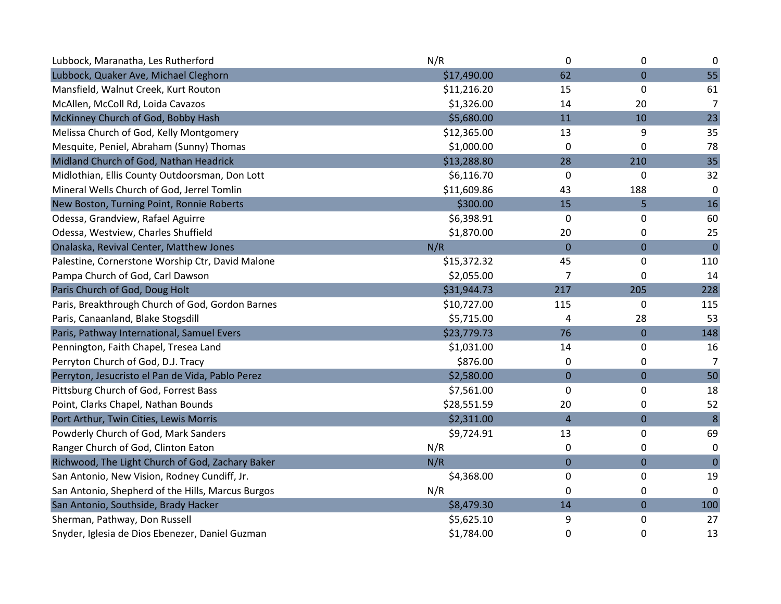| Lubbock, Maranatha, Les Rutherford                | N/R         | 0                | 0              | $\mathbf 0$    |
|---------------------------------------------------|-------------|------------------|----------------|----------------|
| Lubbock, Quaker Ave, Michael Cleghorn             | \$17,490.00 | 62               | 0              | 55             |
| Mansfield, Walnut Creek, Kurt Routon              | \$11,216.20 | 15               | 0              | 61             |
| McAllen, McColl Rd, Loida Cavazos                 | \$1,326.00  | 14               | 20             | $\overline{7}$ |
| McKinney Church of God, Bobby Hash                | \$5,680.00  | 11               | 10             | 23             |
| Melissa Church of God, Kelly Montgomery           | \$12,365.00 | 13               | 9              | 35             |
| Mesquite, Peniel, Abraham (Sunny) Thomas          | \$1,000.00  | 0                | 0              | 78             |
| Midland Church of God, Nathan Headrick            | \$13,288.80 | 28               | 210            | 35             |
| Midlothian, Ellis County Outdoorsman, Don Lott    | \$6,116.70  | 0                | 0              | 32             |
| Mineral Wells Church of God, Jerrel Tomlin        | \$11,609.86 | 43               | 188            | 0              |
| New Boston, Turning Point, Ronnie Roberts         | \$300.00    | 15               | 5              | 16             |
| Odessa, Grandview, Rafael Aguirre                 | \$6,398.91  | 0                | 0              | 60             |
| Odessa, Westview, Charles Shuffield               | \$1,870.00  | 20               | 0              | 25             |
| Onalaska, Revival Center, Matthew Jones           | N/R         | $\overline{0}$   | $\overline{0}$ | $\mathbf 0$    |
| Palestine, Cornerstone Worship Ctr, David Malone  | \$15,372.32 | 45               | 0              | 110            |
| Pampa Church of God, Carl Dawson                  | \$2,055.00  | 7                | 0              | 14             |
| Paris Church of God, Doug Holt                    | \$31,944.73 | 217              | 205            | 228            |
| Paris, Breakthrough Church of God, Gordon Barnes  | \$10,727.00 | 115              | 0              | 115            |
| Paris, Canaanland, Blake Stogsdill                | \$5,715.00  | 4                | 28             | 53             |
| Paris, Pathway International, Samuel Evers        | \$23,779.73 | 76               | 0              | 148            |
| Pennington, Faith Chapel, Tresea Land             | \$1,031.00  | 14               | 0              | 16             |
| Perryton Church of God, D.J. Tracy                | \$876.00    | 0                | 0              | 7              |
| Perryton, Jesucristo el Pan de Vida, Pablo Perez  | \$2,580.00  | $\mathbf 0$      | $\mathbf 0$    | 50             |
| Pittsburg Church of God, Forrest Bass             | \$7,561.00  | 0                | 0              | 18             |
| Point, Clarks Chapel, Nathan Bounds               | \$28,551.59 | 20               | 0              | 52             |
| Port Arthur, Twin Cities, Lewis Morris            | \$2,311.00  | $\overline{4}$   | $\mathbf 0$    | $\bf 8$        |
| Powderly Church of God, Mark Sanders              | \$9,724.91  | 13               | 0              | 69             |
| Ranger Church of God, Clinton Eaton               | N/R         | 0                | 0              | $\mathbf 0$    |
| Richwood, The Light Church of God, Zachary Baker  | N/R         | $\boldsymbol{0}$ | $\overline{0}$ | $\mathbf 0$    |
| San Antonio, New Vision, Rodney Cundiff, Jr.      | \$4,368.00  | 0                | 0              | 19             |
| San Antonio, Shepherd of the Hills, Marcus Burgos | N/R         | 0                | 0              | $\Omega$       |
| San Antonio, Southside, Brady Hacker              | \$8,479.30  | 14               | $\mathbf 0$    | 100            |
| Sherman, Pathway, Don Russell                     | \$5,625.10  | 9                | 0              | 27             |
| Snyder, Iglesia de Dios Ebenezer, Daniel Guzman   | \$1,784.00  | 0                | 0              | 13             |